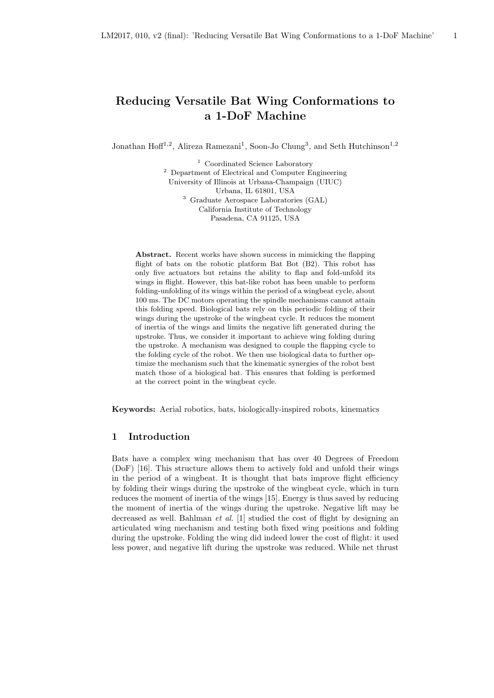Jonathan Hoff<sup>1,2</sup>, Alireza Ramezani<sup>1</sup>, Soon-Jo Chung<sup>3</sup>, and Seth Hutchinson<sup>1,2</sup>

<sup>1</sup> Coordinated Science Laboratory <sup>2</sup> Department of Electrical and Computer Engineering University of Illinois at Urbana-Champaign (UIUC) Urbana, IL 61801, USA <sup>3</sup> Graduate Aerospace Laboratories (GAL) California Institute of Technology Pasadena, CA 91125, USA

Abstract. Recent works have shown success in mimicking the flapping flight of bats on the robotic platform Bat Bot (B2). This robot has only five actuators but retains the ability to flap and fold-unfold its wings in flight. However, this bat-like robot has been unable to perform folding-unfolding of its wings within the period of a wingbeat cycle, about 100 ms. The DC motors operating the spindle mechanisms cannot attain this folding speed. Biological bats rely on this periodic folding of their wings during the upstroke of the wingbeat cycle. It reduces the moment of inertia of the wings and limits the negative lift generated during the upstroke. Thus, we consider it important to achieve wing folding during the upstroke. A mechanism was designed to couple the flapping cycle to the folding cycle of the robot. We then use biological data to further optimize the mechanism such that the kinematic synergies of the robot best match those of a biological bat. This ensures that folding is performed at the correct point in the wingbeat cycle.

Keywords: Aerial robotics, bats, biologically-inspired robots, kinematics

### 1 Introduction

Bats have a complex wing mechanism that has over 40 Degrees of Freedom (DoF) [16]. This structure allows them to actively fold and unfold their wings in the period of a wingbeat. It is thought that bats improve flight efficiency by folding their wings during the upstroke of the wingbeat cycle, which in turn reduces the moment of inertia of the wings [15]. Energy is thus saved by reducing the moment of inertia of the wings during the upstroke. Negative lift may be decreased as well. Bahlman *et al.* [1] studied the cost of flight by designing an articulated wing mechanism and testing both fixed wing positions and folding during the upstroke. Folding the wing did indeed lower the cost of flight: it used less power, and negative lift during the upstroke was reduced. While net thrust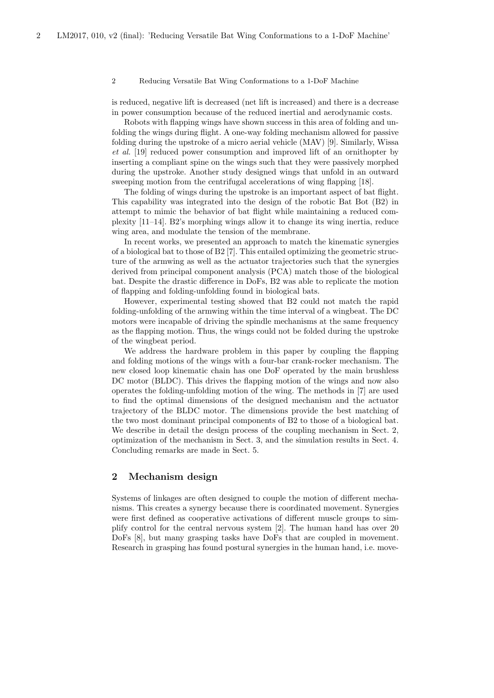is reduced, negative lift is decreased (net lift is increased) and there is a decrease in power consumption because of the reduced inertial and aerodynamic costs.

Robots with flapping wings have shown success in this area of folding and unfolding the wings during flight. A one-way folding mechanism allowed for passive folding during the upstroke of a micro aerial vehicle (MAV) [9]. Similarly, Wissa et al. [19] reduced power consumption and improved lift of an ornithopter by inserting a compliant spine on the wings such that they were passively morphed during the upstroke. Another study designed wings that unfold in an outward sweeping motion from the centrifugal accelerations of wing flapping [18].

The folding of wings during the upstroke is an important aspect of bat flight. This capability was integrated into the design of the robotic Bat Bot (B2) in attempt to mimic the behavior of bat flight while maintaining a reduced complexity [11–14]. B2's morphing wings allow it to change its wing inertia, reduce wing area, and modulate the tension of the membrane.

In recent works, we presented an approach to match the kinematic synergies of a biological bat to those of B2 [7]. This entailed optimizing the geometric structure of the armwing as well as the actuator trajectories such that the synergies derived from principal component analysis (PCA) match those of the biological bat. Despite the drastic difference in DoFs, B2 was able to replicate the motion of flapping and folding-unfolding found in biological bats.

However, experimental testing showed that B2 could not match the rapid folding-unfolding of the armwing within the time interval of a wingbeat. The DC motors were incapable of driving the spindle mechanisms at the same frequency as the flapping motion. Thus, the wings could not be folded during the upstroke of the wingbeat period.

We address the hardware problem in this paper by coupling the flapping and folding motions of the wings with a four-bar crank-rocker mechanism. The new closed loop kinematic chain has one DoF operated by the main brushless DC motor (BLDC). This drives the flapping motion of the wings and now also operates the folding-unfolding motion of the wing. The methods in [7] are used to find the optimal dimensions of the designed mechanism and the actuator trajectory of the BLDC motor. The dimensions provide the best matching of the two most dominant principal components of B2 to those of a biological bat. We describe in detail the design process of the coupling mechanism in Sect. 2, optimization of the mechanism in Sect. 3, and the simulation results in Sect. 4. Concluding remarks are made in Sect. 5.

# 2 Mechanism design

Systems of linkages are often designed to couple the motion of different mechanisms. This creates a synergy because there is coordinated movement. Synergies were first defined as cooperative activations of different muscle groups to simplify control for the central nervous system [2]. The human hand has over 20 DoFs [8], but many grasping tasks have DoFs that are coupled in movement. Research in grasping has found postural synergies in the human hand, i.e. move-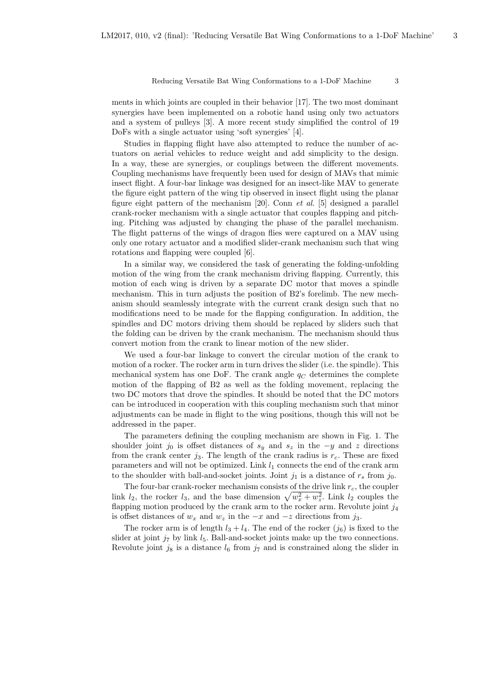ments in which joints are coupled in their behavior [17]. The two most dominant synergies have been implemented on a robotic hand using only two actuators and a system of pulleys [3]. A more recent study simplified the control of 19 DoFs with a single actuator using 'soft synergies' [4].

Studies in flapping flight have also attempted to reduce the number of actuators on aerial vehicles to reduce weight and add simplicity to the design. In a way, these are synergies, or couplings between the different movements. Coupling mechanisms have frequently been used for design of MAVs that mimic insect flight. A four-bar linkage was designed for an insect-like MAV to generate the figure eight pattern of the wing tip observed in insect flight using the planar figure eight pattern of the mechanism [20]. Conn et al. [5] designed a parallel crank-rocker mechanism with a single actuator that couples flapping and pitching. Pitching was adjusted by changing the phase of the parallel mechanism. The flight patterns of the wings of dragon flies were captured on a MAV using only one rotary actuator and a modified slider-crank mechanism such that wing rotations and flapping were coupled [6].

In a similar way, we considered the task of generating the folding-unfolding motion of the wing from the crank mechanism driving flapping. Currently, this motion of each wing is driven by a separate DC motor that moves a spindle mechanism. This in turn adjusts the position of B2's forelimb. The new mechanism should seamlessly integrate with the current crank design such that no modifications need to be made for the flapping configuration. In addition, the spindles and DC motors driving them should be replaced by sliders such that the folding can be driven by the crank mechanism. The mechanism should thus convert motion from the crank to linear motion of the new slider.

We used a four-bar linkage to convert the circular motion of the crank to motion of a rocker. The rocker arm in turn drives the slider (i.e. the spindle). This mechanical system has one DoF. The crank angle  $q_C$  determines the complete motion of the flapping of B2 as well as the folding movement, replacing the two DC motors that drove the spindles. It should be noted that the DC motors can be introduced in cooperation with this coupling mechanism such that minor adjustments can be made in flight to the wing positions, though this will not be addressed in the paper.

The parameters defining the coupling mechanism are shown in Fig. 1. The shoulder joint j<sub>0</sub> is offset distances of  $s_y$  and  $s_z$  in the  $-y$  and z directions from the crank center  $j_3$ . The length of the crank radius is  $r_c$ . These are fixed parameters and will not be optimized. Link  $l_1$  connects the end of the crank arm to the shoulder with ball-and-socket joints. Joint  $j_1$  is a distance of  $r_s$  from  $j_0$ .

The four-bar crank-rocker mechanism consists of the drive link  $r_c$ , the coupler link  $l_2$ , the rocker  $l_3$ , and the base dimension  $\sqrt{w_x^2 + w_z^2}$ . Link  $l_2$  couples the flapping motion produced by the crank arm to the rocker arm. Revolute joint  $j_4$ is offset distances of  $w_x$  and  $w_z$  in the  $-x$  and  $-z$  directions from j<sub>3</sub>.

The rocker arm is of length  $l_3 + l_4$ . The end of the rocker  $(j_6)$  is fixed to the slider at joint  $j_7$  by link  $l_5$ . Ball-and-socket joints make up the two connections. Revolute joint  $j_8$  is a distance  $l_6$  from  $j_7$  and is constrained along the slider in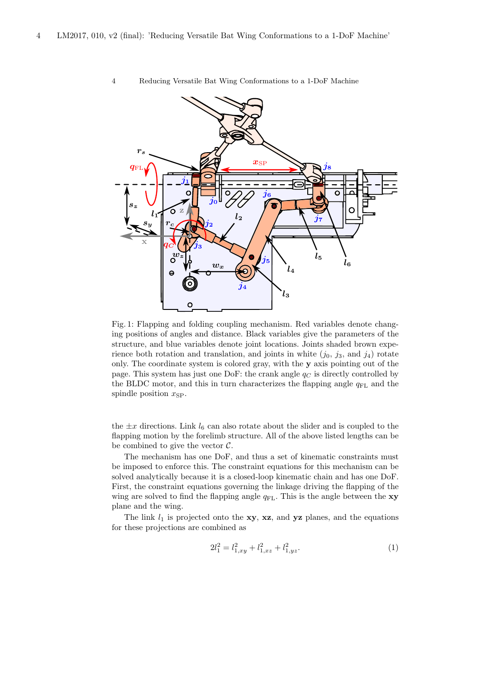

4 Reducing Versatile Bat Wing Conformations to a 1-DoF Machine

Fig. 1: Flapping and folding coupling mechanism. Red variables denote changing positions of angles and distance. Black variables give the parameters of the structure, and blue variables denote joint locations. Joints shaded brown experience both rotation and translation, and joints in white  $(j_0, j_3, \text{ and } j_4)$  rotate only. The coordinate system is colored gray, with the y axis pointing out of the page. This system has just one DoF: the crank angle  $q_C$  is directly controlled by the BLDC motor, and this in turn characterizes the flapping angle  $q_{FL}$  and the spindle position  $x_{\text{SP}}$ .

the  $\pm x$  directions. Link  $l_6$  can also rotate about the slider and is coupled to the flapping motion by the forelimb structure. All of the above listed lengths can be be combined to give the vector  $\mathcal{C}$ .

The mechanism has one DoF, and thus a set of kinematic constraints must be imposed to enforce this. The constraint equations for this mechanism can be solved analytically because it is a closed-loop kinematic chain and has one DoF. First, the constraint equations governing the linkage driving the flapping of the wing are solved to find the flapping angle  $q_{FL}$ . This is the angle between the **xy** plane and the wing.

The link  $l_1$  is projected onto the **xy**, **xz**, and **yz** planes, and the equations for these projections are combined as

$$
2l_1^2 = l_{1,xy}^2 + l_{1,xz}^2 + l_{1,yz}^2.
$$
\n<sup>(1)</sup>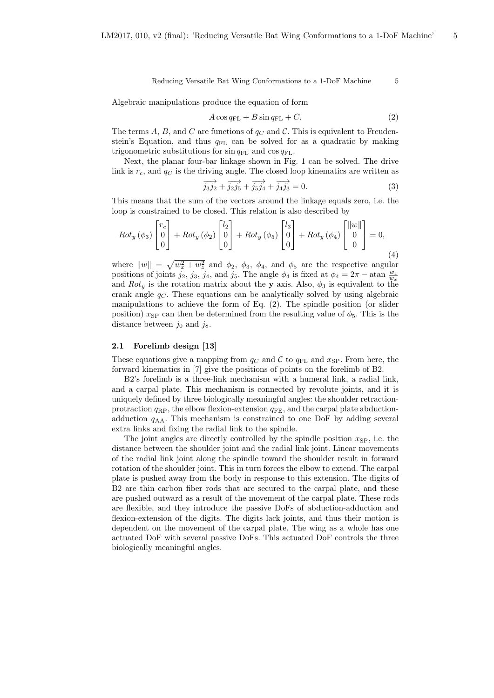Algebraic manipulations produce the equation of form

$$
A\cos q_{\text{FL}} + B\sin q_{\text{FL}} + C.\tag{2}
$$

The terms A, B, and C are functions of  $q_C$  and C. This is equivalent to Freudenstein's Equation, and thus  $q_{\text{FL}}$  can be solved for as a quadratic by making trigonometric substitutions for  $\sin q_{FL}$  and  $\cos q_{FL}$ .

Next, the planar four-bar linkage shown in Fig. 1 can be solved. The drive link is  $r_c$ , and  $q_c$  is the driving angle. The closed loop kinematics are written as

$$
\overrightarrow{j_3j_2} + \overrightarrow{j_2j_5} + \overrightarrow{j_5j_4} + \overrightarrow{j_4j_3} = 0.
$$
 (3)

This means that the sum of the vectors around the linkage equals zero, i.e. the loop is constrained to be closed. This relation is also described by

$$
Rot_{y}(\phi_{3})\begin{bmatrix}r_{c}\\0\\0\end{bmatrix} + Rot_{y}(\phi_{2})\begin{bmatrix}l_{2}\\0\\0\end{bmatrix} + Rot_{y}(\phi_{5})\begin{bmatrix}l_{3}\\0\\0\end{bmatrix} + Rot_{y}(\phi_{4})\begin{bmatrix}||w||\\0\\0\end{bmatrix} = 0,
$$
\n(4)

where  $||w|| = \sqrt{w_x^2 + w_z^2}$  and  $\phi_2$ ,  $\phi_3$ ,  $\phi_4$ , and  $\phi_5$  are the respective angular positions of joints  $j_2$ ,  $j_3$ ,  $j_4$ , and  $j_5$ . The angle  $\phi_4$  is fixed at  $\phi_4 = 2\pi - \text{atan } \frac{w_2}{w_4}$ and  $Rot_y$  is the rotation matrix about the **y** axis. Also,  $\phi_3$  is equivalent to the crank angle  $q_C$ . These equations can be analytically solved by using algebraic manipulations to achieve the form of Eq. (2). The spindle position (or slider position)  $x_{SP}$  can then be determined from the resulting value of  $\phi_5$ . This is the distance between  $j_0$  and  $j_8$ .

### 2.1 Forelimb design [13]

These equations give a mapping from  $q_C$  and C to  $q_{FL}$  and  $x_{SP}$ . From here, the forward kinematics in [7] give the positions of points on the forelimb of B2.

B2's forelimb is a three-link mechanism with a humeral link, a radial link, and a carpal plate. This mechanism is connected by revolute joints, and it is uniquely defined by three biologically meaningful angles: the shoulder retractionprotraction  $q_{RP}$ , the elbow flexion-extension  $q_{FE}$ , and the carpal plate abductionadduction  $q_{AA}$ . This mechanism is constrained to one DoF by adding several extra links and fixing the radial link to the spindle.

The joint angles are directly controlled by the spindle position  $x_{\rm SP}$ , i.e. the distance between the shoulder joint and the radial link joint. Linear movements of the radial link joint along the spindle toward the shoulder result in forward rotation of the shoulder joint. This in turn forces the elbow to extend. The carpal plate is pushed away from the body in response to this extension. The digits of B2 are thin carbon fiber rods that are secured to the carpal plate, and these are pushed outward as a result of the movement of the carpal plate. These rods are flexible, and they introduce the passive DoFs of abduction-adduction and flexion-extension of the digits. The digits lack joints, and thus their motion is dependent on the movement of the carpal plate. The wing as a whole has one actuated DoF with several passive DoFs. This actuated DoF controls the three biologically meaningful angles.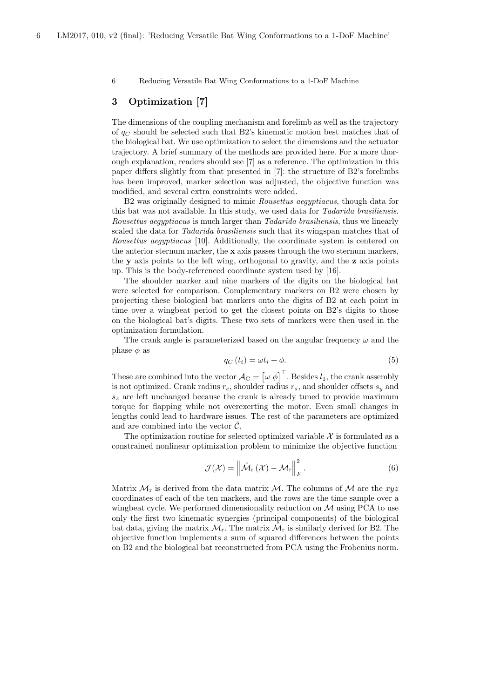# 3 Optimization [7]

The dimensions of the coupling mechanism and forelimb as well as the trajectory of  $q_C$  should be selected such that B2's kinematic motion best matches that of the biological bat. We use optimization to select the dimensions and the actuator trajectory. A brief summary of the methods are provided here. For a more thorough explanation, readers should see [7] as a reference. The optimization in this paper differs slightly from that presented in [7]: the structure of B2's forelimbs has been improved, marker selection was adjusted, the objective function was modified, and several extra constraints were added.

B2 was originally designed to mimic Rousettus aegyptiacus, though data for this bat was not available. In this study, we used data for *Tadarida brasiliensis*. Rousettus aegyptiacus is much larger than Tadarida brasiliensis, thus we linearly scaled the data for *Tadarida brasiliensis* such that its wingspan matches that of Rousettus aegyptiacus [10]. Additionally, the coordinate system is centered on the anterior sternum marker, the  $x$  axis passes through the two sternum markers, the  $\bf{v}$  axis points to the left wing, orthogonal to gravity, and the  $\bf{z}$  axis points up. This is the body-referenced coordinate system used by [16].

The shoulder marker and nine markers of the digits on the biological bat were selected for comparison. Complementary markers on B2 were chosen by projecting these biological bat markers onto the digits of B2 at each point in time over a wingbeat period to get the closest points on B2's digits to those on the biological bat's digits. These two sets of markers were then used in the optimization formulation.

The crank angle is parameterized based on the angular frequency  $\omega$  and the phase  $\phi$  as

$$
q_C(t_i) = \omega t_i + \phi. \tag{5}
$$

These are combined into the vector  $\mathcal{A}_{C} = [\omega \phi]$ <sup> $\perp$ </sup>. Besides  $l_1$ , the crank assembly is not optimized. Crank radius  $r_c$ , shoulder radius  $r_s$ , and shoulder offsets  $s_y$  and  $s<sub>z</sub>$  are left unchanged because the crank is already tuned to provide maximum torque for flapping while not overexerting the motor. Even small changes in lengths could lead to hardware issues. The rest of the parameters are optimized and are combined into the vector  $\overline{C}$ .

The optimization routine for selected optimized variable  $\mathcal X$  is formulated as a constrained nonlinear optimization problem to minimize the objective function

$$
\mathcal{J}(\mathcal{X}) = \left\| \hat{\mathcal{M}}_{\rm r}(\mathcal{X}) - \mathcal{M}_{\rm r} \right\|_{F}^{2}.
$$
 (6)

Matrix  $\mathcal{M}_r$  is derived from the data matrix  $\mathcal{M}$ . The columns of  $\mathcal{M}$  are the xyz coordinates of each of the ten markers, and the rows are the time sample over a wingbeat cycle. We performed dimensionality reduction on  $\mathcal M$  using PCA to use only the first two kinematic synergies (principal components) of the biological bat data, giving the matrix  $\mathcal{M}_{r}$ . The matrix  $\mathcal{\hat{M}}_{r}$  is similarly derived for B2. The objective function implements a sum of squared differences between the points on B2 and the biological bat reconstructed from PCA using the Frobenius norm.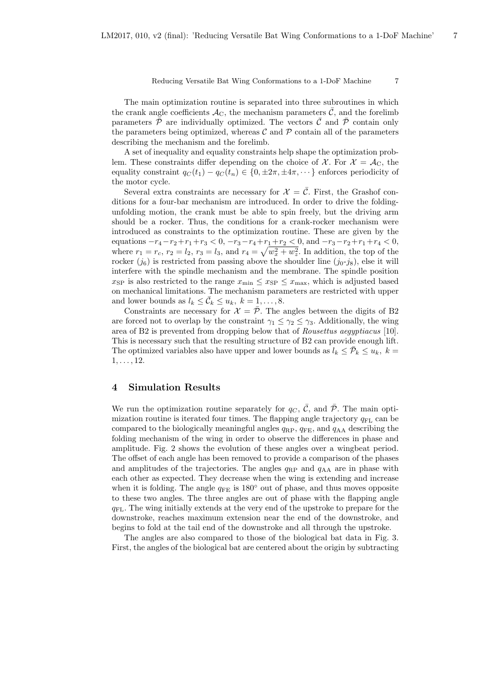The main optimization routine is separated into three subroutines in which the crank angle coefficients  $\mathcal{A}_{\rm C}$ , the mechanism parameters  $\overline{\mathcal{C}}$ , and the forelimb parameters  $\bar{\mathcal{P}}$  are individually optimized. The vectors  $\bar{\mathcal{C}}$  and  $\bar{\mathcal{P}}$  contain only the parameters being optimized, whereas  $\mathcal C$  and  $\mathcal P$  contain all of the parameters describing the mechanism and the forelimb.

A set of inequality and equality constraints help shape the optimization problem. These constraints differ depending on the choice of X. For  $\mathcal{X} = \mathcal{A}_{C}$ , the equality constraint  $q_C(t_1) - q_C(t_n) \in \{0, \pm 2\pi, \pm 4\pi, \cdots\}$  enforces periodicity of the motor cycle.

Several extra constraints are necessary for  $\mathcal{X} = \overline{\mathcal{C}}$ . First, the Grashof conditions for a four-bar mechanism are introduced. In order to drive the foldingunfolding motion, the crank must be able to spin freely, but the driving arm should be a rocker. Thus, the conditions for a crank-rocker mechanism were introduced as constraints to the optimization routine. These are given by the equations  $-r_4-r_2+r_1+r_3 < 0$ ,  $-r_3-r_4+r_1+r_2 < 0$ , and  $-r_3-r_2+r_1+r_4 < 0$ , where  $r_1 = r_c$ ,  $r_2 = l_2$ ,  $r_3 = l_3$ , and  $r_4 = \sqrt{w_x^2 + w_z^2}$ . In addition, the top of the rocker  $(j_6)$  is restricted from passing above the shoulder line  $(j_0-j_8)$ , else it will interfere with the spindle mechanism and the membrane. The spindle position  $x_{\text{SP}}$  is also restricted to the range  $x_{\text{min}} \leq x_{\text{SP}} \leq x_{\text{max}}$ , which is adjusted based on mechanical limitations. The mechanism parameters are restricted with upper and lower bounds as  $l_k \leq \bar{C}_k \leq u_k, k = 1, \ldots, 8$ .

Constraints are necessary for  $\mathcal{X} = \overline{\mathcal{P}}$ . The angles between the digits of B2 are forced not to overlap by the constraint  $\gamma_1 \leq \gamma_2 \leq \gamma_3$ . Additionally, the wing area of B2 is prevented from dropping below that of Rousettus aegyptiacus [10]. This is necessary such that the resulting structure of B2 can provide enough lift. The optimized variables also have upper and lower bounds as  $l_k \leq \bar{P}_k \leq u_k$ ,  $k =$  $1, \ldots, 12.$ 

### 4 Simulation Results

We run the optimization routine separately for  $q_C, \mathcal{C}$ , and  $\mathcal{P}$ . The main optimization routine is iterated four times. The flapping angle trajectory  $q_{FL}$  can be compared to the biologically meaningful angles  $q_{\rm RP}$ ,  $q_{\rm FE}$ , and  $q_{\rm AA}$  describing the folding mechanism of the wing in order to observe the differences in phase and amplitude. Fig. 2 shows the evolution of these angles over a wingbeat period. The offset of each angle has been removed to provide a comparison of the phases and amplitudes of the trajectories. The angles  $q_{RP}$  and  $q_{AA}$  are in phase with each other as expected. They decrease when the wing is extending and increase when it is folding. The angle  $q_{FE}$  is 180 $\degree$  out of phase, and thus moves opposite to these two angles. The three angles are out of phase with the flapping angle  $q_{FL}$ . The wing initially extends at the very end of the upstroke to prepare for the downstroke, reaches maximum extension near the end of the downstroke, and begins to fold at the tail end of the downstroke and all through the upstroke.

The angles are also compared to those of the biological bat data in Fig. 3. First, the angles of the biological bat are centered about the origin by subtracting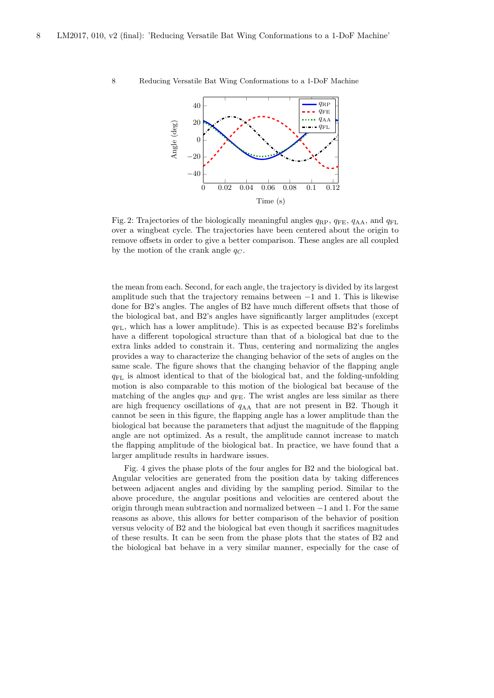

Fig. 2: Trajectories of the biologically meaningful angles  $q_{\rm RP}$ ,  $q_{\rm FE}$ ,  $q_{\rm AA}$ , and  $q_{\rm FL}$ over a wingbeat cycle. The trajectories have been centered about the origin to remove offsets in order to give a better comparison. These angles are all coupled by the motion of the crank angle  $q_C$ .

the mean from each. Second, for each angle, the trajectory is divided by its largest amplitude such that the trajectory remains between  $-1$  and 1. This is likewise done for B2's angles. The angles of B2 have much different offsets that those of the biological bat, and B2's angles have significantly larger amplitudes (except  $q_{FL}$ , which has a lower amplitude). This is as expected because B2's forelimbs have a different topological structure than that of a biological bat due to the extra links added to constrain it. Thus, centering and normalizing the angles provides a way to characterize the changing behavior of the sets of angles on the same scale. The figure shows that the changing behavior of the flapping angle  $q_{FL}$  is almost identical to that of the biological bat, and the folding-unfolding motion is also comparable to this motion of the biological bat because of the matching of the angles  $q_{\text{RP}}$  and  $q_{\text{FE}}$ . The wrist angles are less similar as there are high frequency oscillations of  $q_{AA}$  that are not present in B2. Though it cannot be seen in this figure, the flapping angle has a lower amplitude than the biological bat because the parameters that adjust the magnitude of the flapping angle are not optimized. As a result, the amplitude cannot increase to match the flapping amplitude of the biological bat. In practice, we have found that a larger amplitude results in hardware issues.

Fig. 4 gives the phase plots of the four angles for B2 and the biological bat. Angular velocities are generated from the position data by taking differences between adjacent angles and dividing by the sampling period. Similar to the above procedure, the angular positions and velocities are centered about the origin through mean subtraction and normalized between −1 and 1. For the same reasons as above, this allows for better comparison of the behavior of position versus velocity of B2 and the biological bat even though it sacrifices magnitudes of these results. It can be seen from the phase plots that the states of B2 and the biological bat behave in a very similar manner, especially for the case of

8 Reducing Versatile Bat Wing Conformations to a 1-DoF Machine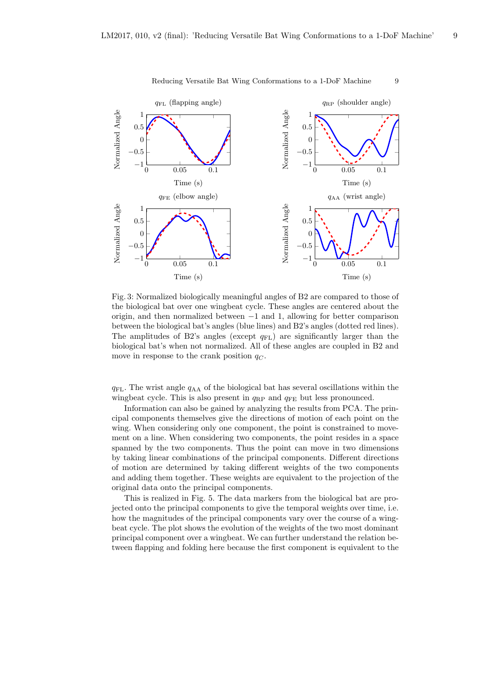

Fig. 3: Normalized biologically meaningful angles of B2 are compared to those of the biological bat over one wingbeat cycle. These angles are centered about the origin, and then normalized between −1 and 1, allowing for better comparison between the biological bat's angles (blue lines) and B2's angles (dotted red lines). The amplitudes of B2's angles (except  $q_{FL}$ ) are significantly larger than the biological bat's when not normalized. All of these angles are coupled in B2 and move in response to the crank position  $q_C$ .

 $q_{\text{FL}}$ . The wrist angle  $q_{AA}$  of the biological bat has several oscillations within the wingbeat cycle. This is also present in  $q_{RP}$  and  $q_{FE}$  but less pronounced.

Information can also be gained by analyzing the results from PCA. The principal components themselves give the directions of motion of each point on the wing. When considering only one component, the point is constrained to movement on a line. When considering two components, the point resides in a space spanned by the two components. Thus the point can move in two dimensions by taking linear combinations of the principal components. Different directions of motion are determined by taking different weights of the two components and adding them together. These weights are equivalent to the projection of the original data onto the principal components.

This is realized in Fig. 5. The data markers from the biological bat are projected onto the principal components to give the temporal weights over time, i.e. how the magnitudes of the principal components vary over the course of a wingbeat cycle. The plot shows the evolution of the weights of the two most dominant principal component over a wingbeat. We can further understand the relation between flapping and folding here because the first component is equivalent to the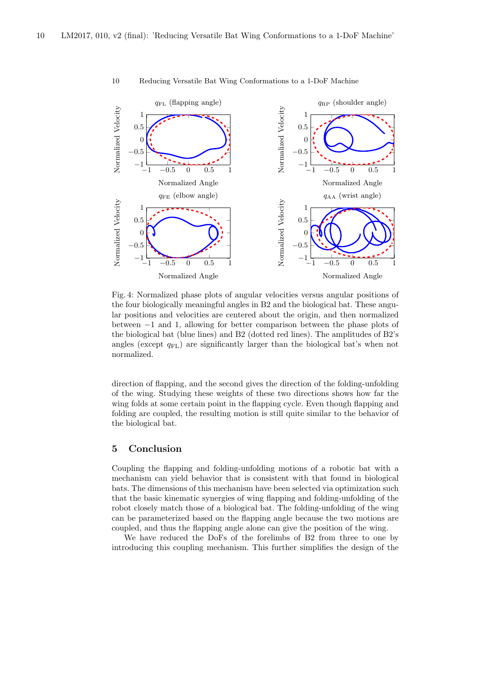

Fig. 4: Normalized phase plots of angular velocities versus angular positions of the four biologically meaningful angles in B2 and the biological bat. These angular positions and velocities are centered about the origin, and then normalized between −1 and 1, allowing for better comparison between the phase plots of the biological bat (blue lines) and B2 (dotted red lines). The amplitudes of B2's angles (except  $q_{\text{FL}}$ ) are significantly larger than the biological bat's when not normalized.

direction of flapping, and the second gives the direction of the folding-unfolding of the wing. Studying these weights of these two directions shows how far the wing folds at some certain point in the flapping cycle. Even though flapping and folding are coupled, the resulting motion is still quite similar to the behavior of the biological bat.

# 5 Conclusion

Coupling the flapping and folding-unfolding motions of a robotic bat with a mechanism can yield behavior that is consistent with that found in biological bats. The dimensions of this mechanism have been selected via optimization such that the basic kinematic synergies of wing flapping and folding-unfolding of the robot closely match those of a biological bat. The folding-unfolding of the wing can be parameterized based on the flapping angle because the two motions are coupled, and thus the flapping angle alone can give the position of the wing.

We have reduced the DoFs of the forelimbs of B2 from three to one by introducing this coupling mechanism. This further simplifies the design of the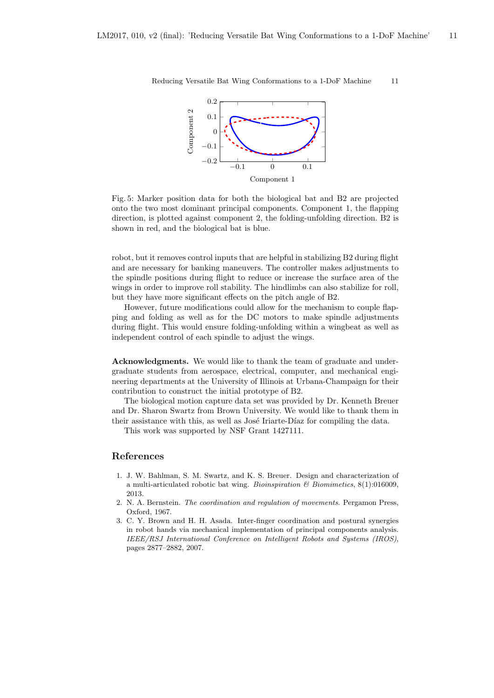

Reducing Versatile Bat Wing Conformations to a 1-DoF Machine 11

Fig. 5: Marker position data for both the biological bat and B2 are projected onto the two most dominant principal components. Component 1, the flapping direction, is plotted against component 2, the folding-unfolding direction. B2 is shown in red, and the biological bat is blue.

robot, but it removes control inputs that are helpful in stabilizing B2 during flight and are necessary for banking maneuvers. The controller makes adjustments to the spindle positions during flight to reduce or increase the surface area of the wings in order to improve roll stability. The hindlimbs can also stabilize for roll, but they have more significant effects on the pitch angle of B2.

However, future modifications could allow for the mechanism to couple flapping and folding as well as for the DC motors to make spindle adjustments during flight. This would ensure folding-unfolding within a wingbeat as well as independent control of each spindle to adjust the wings.

Acknowledgments. We would like to thank the team of graduate and undergraduate students from aerospace, electrical, computer, and mechanical engineering departments at the University of Illinois at Urbana-Champaign for their contribution to construct the initial prototype of B2.

The biological motion capture data set was provided by Dr. Kenneth Breuer and Dr. Sharon Swartz from Brown University. We would like to thank them in their assistance with this, as well as José Iriarte-Díaz for compiling the data.

This work was supported by NSF Grant 1427111.

## References

- 1. J. W. Bahlman, S. M. Swartz, and K. S. Breuer. Design and characterization of a multi-articulated robotic bat wing. Bioinspiration  $\mathcal C$  Biomimetics, 8(1):016009, 2013.
- 2. N. A. Bernstein. The coordination and regulation of movements. Pergamon Press, Oxford, 1967.
- 3. C. Y. Brown and H. H. Asada. Inter-finger coordination and postural synergies in robot hands via mechanical implementation of principal components analysis. IEEE/RSJ International Conference on Intelligent Robots and Systems (IROS), pages 2877–2882, 2007.